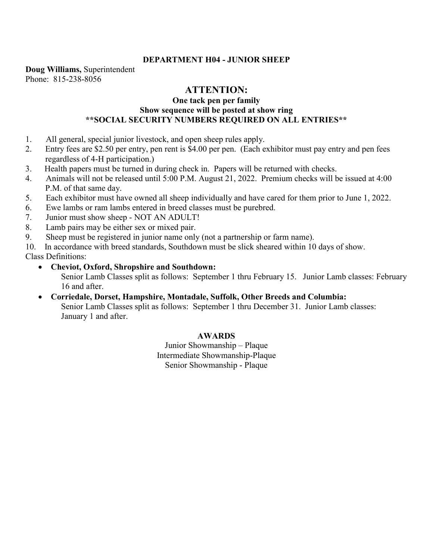# **DEPARTMENT H04 - JUNIOR SHEEP**

**Doug Williams,** Superintendent Phone: 815-238-8056

# **ATTENTION:**

# **One tack pen per family Show sequence will be posted at show ring \*\*SOCIAL SECURITY NUMBERS REQUIRED ON ALL ENTRIES\*\***

- 1. All general, special junior livestock, and open sheep rules apply.
- 2. Entry fees are \$2.50 per entry, pen rent is \$4.00 per pen. (Each exhibitor must pay entry and pen fees regardless of 4-H participation.)
- 3. Health papers must be turned in during check in. Papers will be returned with checks.
- 4. Animals will not be released until 5:00 P.M. August 21, 2022. Premium checks will be issued at 4:00 P.M. of that same day.
- 5. Each exhibitor must have owned all sheep individually and have cared for them prior to June 1, 2022.
- 6. Ewe lambs or ram lambs entered in breed classes must be purebred.
- 7. Junior must show sheep NOT AN ADULT!
- 8. Lamb pairs may be either sex or mixed pair.
- 9. Sheep must be registered in junior name only (not a partnership or farm name).
- 10. In accordance with breed standards, Southdown must be slick sheared within 10 days of show.

Class Definitions:

- **Cheviot, Oxford, Shropshire and Southdown:** Senior Lamb Classes split as follows: September 1 thru February 15. Junior Lamb classes: February 16 and after.
- **Corriedale, Dorset, Hampshire, Montadale, Suffolk, Other Breeds and Columbia:** Senior Lamb Classes split as follows: September 1 thru December 31. Junior Lamb classes: January 1 and after.

# **AWARDS**

Junior Showmanship – Plaque Intermediate Showmanship-Plaque Senior Showmanship - Plaque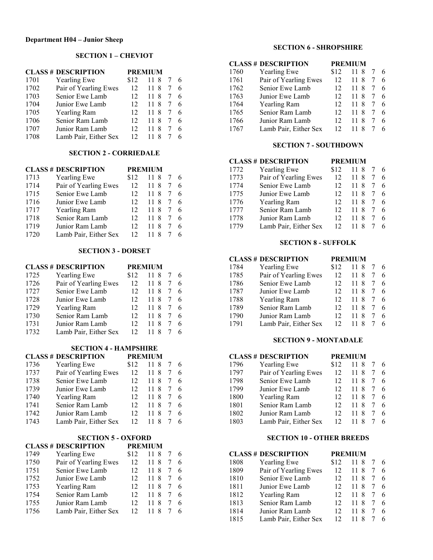### **SECTION 1 – CHEVIOT**

|      | <b>CLASS # DESCRIPTION</b> | <b>PREMIUM</b> |         |  |    |
|------|----------------------------|----------------|---------|--|----|
| 1701 | <b>Yearling Ewe</b>        | \$12           | 118     |  |    |
| 1702 | Pair of Yearling Ewes      | 12             | 8<br>11 |  | 6  |
| 1703 | Senior Ewe Lamb            | 12             | 8<br>11 |  | 6  |
| 1704 | Junior Ewe Lamb            | 12             | 8<br>11 |  | 6  |
| 1705 | Yearling Ram               | 12             | 11.8    |  | -6 |
| 1706 | Senior Ram Lamb            | 12             | 8<br>11 |  | 6  |
| 1707 | Junior Ram Lamb            | 12             | 8       |  | 6  |
| 1708 | Lamb Pair, Either Sex      | 12             |         |  |    |

## **SECTION 2 - CORRIEDALE**

|      | <b>CLASS # DESCRIPTION</b> |                 | <b>PREMIUM</b> |    |
|------|----------------------------|-----------------|----------------|----|
| 1713 | <b>Yearling Ewe</b>        | \$12            | 11 8           | -6 |
| 1714 | Pair of Yearling Ewes      | 12              | 11 8           | 6  |
| 1715 | Senior Ewe Lamb            | 12 <sup>2</sup> | 11.8           | 6  |
| 1716 | Junior Ewe Lamb            | 12              | 11.8           | -6 |
| 1717 | <b>Yearling Ram</b>        | 12              | 11.8           | -6 |
| 1718 | Senior Ram Lamb            | 12 <sup>2</sup> | 11.8           | 6  |
| 1719 | Junior Ram Lamb            | 12 <sup>2</sup> | 11.8           | 6  |
| 1720 | Lamb Pair, Either Sex      | 12              | 118            |    |

#### **SECTION 3 - DORSET**

#### **CLASS # DESCRIPTION PREMIUM**

| 1725 | <b>Yearling Ewe</b>   | \$12 | 11 8 7   |     |
|------|-----------------------|------|----------|-----|
| 1726 | Pair of Yearling Ewes | 12   | 118      |     |
| 1727 | Senior Ewe Lamb       | 12   | 118      |     |
| 1728 | Junior Ewe Lamb       | 12   | 11.8     |     |
| 1729 | Yearling Ram          | 12.  | 11 8     | - 6 |
| 1730 | Senior Ram Lamb       | 12   | 11.8     |     |
| 1731 | Junior Ram Lamb       | 12   | -8<br>11 |     |
| 1732 | Lamb Pair, Either Sex | 12   | 118      |     |

# **SECTION 4 - HAMPSHIRE**

| <b>CLASS # DESCRIPTION</b> |              | <b>PREMIUM</b> |              |  |
|----------------------------|--------------|----------------|--------------|--|
| 1736                       | Yearling Ewe |                | $$12$ 11 8 7 |  |

| 1737 | Pair of Yearling Ewes | 12              | 11 8 7 6 |     |
|------|-----------------------|-----------------|----------|-----|
| 1738 | Senior Ewe Lamb       | 12 <sup>7</sup> | 11 8 7 6 |     |
| 1739 | Junior Ewe Lamb       | 12 <sup>7</sup> | 11 8 7 6 |     |
| 1740 | Yearling Ram          | 12 <sup>1</sup> | 11 8 7 6 |     |
| 1741 | Senior Ram Lamb       | 12 <sup>7</sup> | 11 8 7 6 |     |
| 1742 | Junior Ram Lamb       | 12 <sup>7</sup> | 11 8 7 6 |     |
| 1743 | Lamb Pair, Either Sex | 12              | 11 8 7   | - 6 |

#### **SECTION 5 - OXFORD**

|      | <b>CLASS # DESCRIPTION</b> | <b>PREMIUM</b> |      |    |
|------|----------------------------|----------------|------|----|
| 1749 | <b>Yearling Ewe</b>        | \$12           | 11.8 | -6 |
| 1750 | Pair of Yearling Ewes      | 12             | 11 8 | -6 |
| 1751 | Senior Ewe Lamb            | 12             | 11 8 | -6 |
| 1752 | Junior Ewe Lamb            | 12             | 11 8 | -6 |
| 1753 | Yearling Ram               | 12             | 11 8 | -6 |
| 1754 | Senior Ram Lamb            | 12             | 11 8 | 6  |
| 1755 | Junior Ram Lamb            | 12             | 11 8 | 6  |
| 1756 | Lamb Pair, Either Sex      | 12             | 118  | 6  |

## **SECTION 6 - SHROPSHIRE**

|      | <b>CLASS # DESCRIPTION</b> | <b>PREMIUM</b> |         |   |    |
|------|----------------------------|----------------|---------|---|----|
| 1760 | Yearling Ewe               | \$12           | 11 8    |   | -6 |
| 1761 | Pair of Yearling Ewes      | 12             | 11 8    |   | -6 |
| 1762 | Senior Ewe Lamb            | 12             | 11 8    |   | 6  |
| 1763 | Junior Ewe Lamb            | 12             | 11.8    |   | 6  |
| 1764 | Yearling Ram               | 12             | 11.8    | 7 | -6 |
| 1765 | Senior Ram Lamb            | 12             | 11.8    | 7 | -6 |
| 1766 | Junior Ram Lamb            | 12             | 11.8    |   | 6  |
| 1767 | Lamb Pair, Either Sex      | 12             | 8<br>11 |   | 6  |

### **SECTION 7 - SOUTHDOWN**

# **CLASS # DESCRIPTION PREMIUM**

| 1772 | <b>Yearling Ewe</b>   | \$12 | 11 8 7 6 |    |     |
|------|-----------------------|------|----------|----|-----|
| 1773 | Pair of Yearling Ewes | 12   | 11.8     | 7  | - 6 |
| 1774 | Senior Ewe Lamb       | 12   | 11 8     |    | - 6 |
| 1775 | Junior Ewe Lamb       | 12   | 11.8     | 76 |     |
| 1776 | Yearling Ram          | 12   | 11 8     | 7  | - 6 |
| 1777 | Senior Ram Lamb       | 12   | 11.8     | 7  | - 6 |
| 1778 | Junior Ram Lamb       | 12   | 11 8     |    | -6  |
| 1779 | Lamb Pair, Either Sex | 12   | 11 8     |    |     |
|      |                       |      |          |    |     |

#### **SECTION 8 - SUFFOLK**

#### **CLASS # DESCRIPTION PREMIUM**

| 1784 | <b>Yearling Ewe</b>   | \$12 | 11 8 |    | - 6 |
|------|-----------------------|------|------|----|-----|
| 1785 | Pair of Yearling Ewes | 12   | 11 8 |    | -6  |
| 1786 | Senior Ewe Lamb       | 12   | 11 8 |    | -6  |
| 1787 | Junior Ewe Lamb       | 12   | 11 8 |    | -6  |
| 1788 | Yearling Ram          | 12.  | 11 8 | -7 | - 6 |
| 1789 | Senior Ram Lamb       | 12   | 11 8 |    | -6  |
| 1790 | Junior Ram Lamb       | 12   | 118  |    | 6   |
| 1791 | Lamb Pair, Either Sex | 12   | 8    |    | 6   |

#### **SECTION 9 - MONTADALE**

#### **CLASS # DESCRIPTION PREMIUM**

| 1796 | <b>Yearling Ewe</b>   | \$12 | 11.8     |   |     |
|------|-----------------------|------|----------|---|-----|
| 1797 | Pair of Yearling Ewes | 12   | 118      |   | - 6 |
| 1798 | Senior Ewe Lamb       | 12   | 11 8     |   | - 6 |
| 1799 | Junior Ewe Lamb       | 12   | 11 8     |   | - 6 |
| 1800 | Yearling Ram          | 12   | 11 8     |   | - 6 |
| 1801 | Senior Ram Lamb       | 12   | 11 8     | 7 | - 6 |
| 1802 | Junior Ram Lamb       | 12   | 8<br>11. |   | -6  |
| 1803 | Lamb Pair, Either Sex | 12   |          |   |     |

#### **SECTION 10 - OTHER BREEDS**

| <b>CLASS # DESCRIPTION</b> | <b>PREMIUM</b>        |      |           |   |  |  |
|----------------------------|-----------------------|------|-----------|---|--|--|
| 1808                       | <b>Yearling Ewe</b>   | \$12 | 11 8      |   |  |  |
| 1809                       | Pair of Yearling Ewes | 12   | 8<br>11   |   |  |  |
| 1810                       | Senior Ewe Lamb       | 12   | -8<br>11. |   |  |  |
| 1811                       | Junior Ewe Lamb       | 12   | 11.8      |   |  |  |
| 1812                       | <b>Yearling Ram</b>   | 12   | 11.8      | 7 |  |  |
| 1813                       | Senior Ram Lamb       | 12   | 11 8      | 7 |  |  |
| 1814                       | Junior Ram Lamb       | 12   | 8         |   |  |  |
| 1815                       | Lamb Pair, Either Sex | 12   | 8         |   |  |  |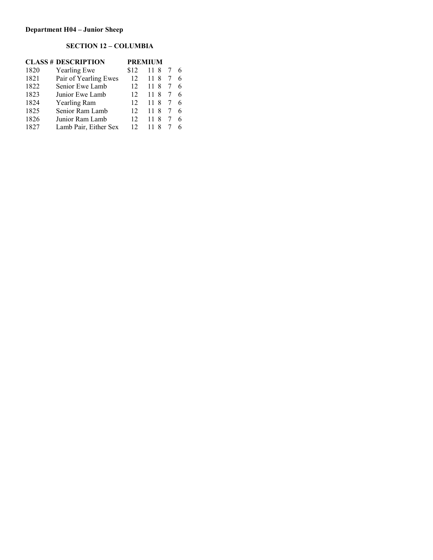# **SECTION 12 – COLUMBIA**

| <b>CLASS # DESCRIPTION</b> |                       |      | <b>PREMIUM</b> |   |  |
|----------------------------|-----------------------|------|----------------|---|--|
| 1820                       | <b>Yearling Ewe</b>   | \$12 | 118            |   |  |
| 1821                       | Pair of Yearling Ewes | 12   | 11 8           |   |  |
| 1822                       | Senior Ewe Lamb       | 12   | 11 8           |   |  |
| 1823                       | Junior Ewe Lamb       | 12   | 11 8           | 7 |  |
| 1824                       | Yearling Ram          | 12   | 11 8           | 7 |  |
| 1825                       | Senior Ram Lamb       | 12   | 118            | 7 |  |
| 1826                       | Junior Ram Lamb       | 12   | 8<br>11        |   |  |
| 1827                       | Lamb Pair, Either Sex | 12   | 8              |   |  |